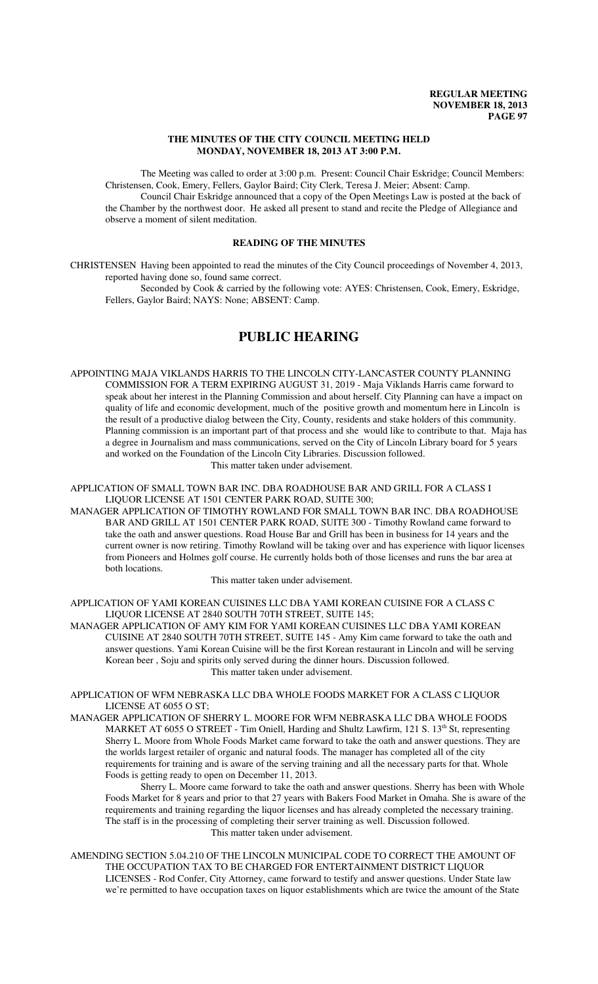### **THE MINUTES OF THE CITY COUNCIL MEETING HELD MONDAY, NOVEMBER 18, 2013 AT 3:00 P.M.**

The Meeting was called to order at 3:00 p.m. Present: Council Chair Eskridge; Council Members: Christensen, Cook, Emery, Fellers, Gaylor Baird; City Clerk, Teresa J. Meier; Absent: Camp. Council Chair Eskridge announced that a copy of the Open Meetings Law is posted at the back of

the Chamber by the northwest door. He asked all present to stand and recite the Pledge of Allegiance and observe a moment of silent meditation.

# **READING OF THE MINUTES**

CHRISTENSEN Having been appointed to read the minutes of the City Council proceedings of November 4, 2013, reported having done so, found same correct.

Seconded by Cook & carried by the following vote: AYES: Christensen, Cook, Emery, Eskridge, Fellers, Gaylor Baird; NAYS: None; ABSENT: Camp.

# **PUBLIC HEARING**

APPOINTING MAJA VIKLANDS HARRIS TO THE LINCOLN CITY-LANCASTER COUNTY PLANNING COMMISSION FOR A TERM EXPIRING AUGUST 31, 2019 - Maja Viklands Harris came forward to speak about her interest in the Planning Commission and about herself. City Planning can have a impact on quality of life and economic development, much of the positive growth and momentum here in Lincoln is the result of a productive dialog between the City, County, residents and stake holders of this community. Planning commission is an important part of that process and she would like to contribute to that. Maja has a degree in Journalism and mass communications, served on the City of Lincoln Library board for 5 years and worked on the Foundation of the Lincoln City Libraries. Discussion followed. This matter taken under advisement.

APPLICATION OF SMALL TOWN BAR INC. DBA ROADHOUSE BAR AND GRILL FOR A CLASS I LIQUOR LICENSE AT 1501 CENTER PARK ROAD, SUITE 300;

MANAGER APPLICATION OF TIMOTHY ROWLAND FOR SMALL TOWN BAR INC. DBA ROADHOUSE BAR AND GRILL AT 1501 CENTER PARK ROAD, SUITE 300 - Timothy Rowland came forward to take the oath and answer questions. Road House Bar and Grill has been in business for 14 years and the current owner is now retiring. Timothy Rowland will be taking over and has experience with liquor licenses from Pioneers and Holmes golf course. He currently holds both of those licenses and runs the bar area at both locations.

This matter taken under advisement.

APPLICATION OF YAMI KOREAN CUISINES LLC DBA YAMI KOREAN CUISINE FOR A CLASS C LIQUOR LICENSE AT 2840 SOUTH 70TH STREET, SUITE 145;

MANAGER APPLICATION OF AMY KIM FOR YAMI KOREAN CUISINES LLC DBA YAMI KOREAN CUISINE AT 2840 SOUTH 70TH STREET, SUITE 145 - Amy Kim came forward to take the oath and answer questions. Yami Korean Cuisine will be the first Korean restaurant in Lincoln and will be serving Korean beer , Soju and spirits only served during the dinner hours. Discussion followed. This matter taken under advisement.

APPLICATION OF WFM NEBRASKA LLC DBA WHOLE FOODS MARKET FOR A CLASS C LIQUOR LICENSE AT 6055 O ST;

MANAGER APPLICATION OF SHERRY L. MOORE FOR WFM NEBRASKA LLC DBA WHOLE FOODS MARKET AT 6055 O STREET - Tim Oniell, Harding and Shultz Lawfirm, 121 S. 13<sup>th</sup> St, representing Sherry L. Moore from Whole Foods Market came forward to take the oath and answer questions. They are the worlds largest retailer of organic and natural foods. The manager has completed all of the city requirements for training and is aware of the serving training and all the necessary parts for that. Whole Foods is getting ready to open on December 11, 2013.

Sherry L. Moore came forward to take the oath and answer questions. Sherry has been with Whole Foods Market for 8 years and prior to that 27 years with Bakers Food Market in Omaha. She is aware of the requirements and training regarding the liquor licenses and has already completed the necessary training. The staff is in the processing of completing their server training as well. Discussion followed. This matter taken under advisement.

AMENDING SECTION 5.04.210 OF THE LINCOLN MUNICIPAL CODE TO CORRECT THE AMOUNT OF THE OCCUPATION TAX TO BE CHARGED FOR ENTERTAINMENT DISTRICT LIQUOR LICENSES - Rod Confer, City Attorney, came forward to testify and answer questions. Under State law we're permitted to have occupation taxes on liquor establishments which are twice the amount of the State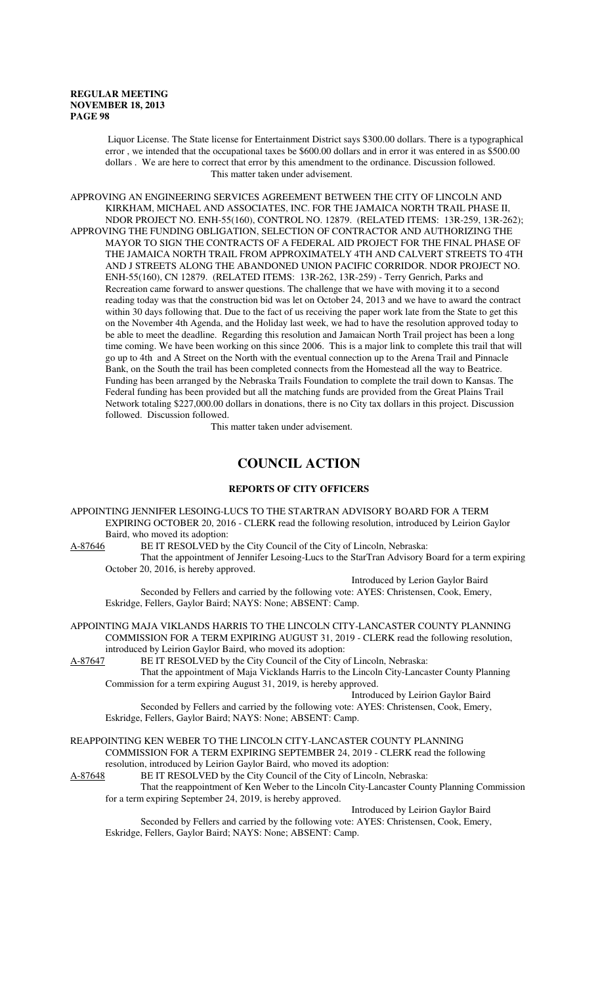Liquor License. The State license for Entertainment District says \$300.00 dollars. There is a typographical error , we intended that the occupational taxes be \$600.00 dollars and in error it was entered in as \$500.00 dollars . We are here to correct that error by this amendment to the ordinance. Discussion followed. This matter taken under advisement.

APPROVING AN ENGINEERING SERVICES AGREEMENT BETWEEN THE CITY OF LINCOLN AND KIRKHAM, MICHAEL AND ASSOCIATES, INC. FOR THE JAMAICA NORTH TRAIL PHASE II, NDOR PROJECT NO. ENH-55(160), CONTROL NO. 12879. (RELATED ITEMS: 13R-259, 13R-262); APPROVING THE FUNDING OBLIGATION, SELECTION OF CONTRACTOR AND AUTHORIZING THE MAYOR TO SIGN THE CONTRACTS OF A FEDERAL AID PROJECT FOR THE FINAL PHASE OF THE JAMAICA NORTH TRAIL FROM APPROXIMATELY 4TH AND CALVERT STREETS TO 4TH AND J STREETS ALONG THE ABANDONED UNION PACIFIC CORRIDOR. NDOR PROJECT NO. ENH-55(160), CN 12879. (RELATED ITEMS: 13R-262, 13R-259) - Terry Genrich, Parks and Recreation came forward to answer questions. The challenge that we have with moving it to a second reading today was that the construction bid was let on October 24, 2013 and we have to award the contract within 30 days following that. Due to the fact of us receiving the paper work late from the State to get this on the November 4th Agenda, and the Holiday last week, we had to have the resolution approved today to be able to meet the deadline. Regarding this resolution and Jamaican North Trail project has been a long time coming. We have been working on this since 2006. This is a major link to complete this trail that will go up to 4th and A Street on the North with the eventual connection up to the Arena Trail and Pinnacle Bank, on the South the trail has been completed connects from the Homestead all the way to Beatrice. Funding has been arranged by the Nebraska Trails Foundation to complete the trail down to Kansas. The Federal funding has been provided but all the matching funds are provided from the Great Plains Trail Network totaling \$227,000.00 dollars in donations, there is no City tax dollars in this project. Discussion followed. Discussion followed.

This matter taken under advisement.

# **COUNCIL ACTION**

#### **REPORTS OF CITY OFFICERS**

APPOINTING JENNIFER LESOING-LUCS TO THE STARTRAN ADVISORY BOARD FOR A TERM EXPIRING OCTOBER 20, 2016 - CLERK read the following resolution, introduced by Leirion Gaylor Baird, who moved its adoption:

A-87646 BE IT RESOLVED by the City Council of the City of Lincoln, Nebraska:

That the appointment of Jennifer Lesoing-Lucs to the StarTran Advisory Board for a term expiring October 20, 2016, is hereby approved.

Introduced by Lerion Gaylor Baird

Seconded by Fellers and carried by the following vote: AYES: Christensen, Cook, Emery, Eskridge, Fellers, Gaylor Baird; NAYS: None; ABSENT: Camp.

APPOINTING MAJA VIKLANDS HARRIS TO THE LINCOLN CITY-LANCASTER COUNTY PLANNING COMMISSION FOR A TERM EXPIRING AUGUST 31, 2019 - CLERK read the following resolution, introduced by Leirion Gaylor Baird, who moved its adoption:

A-87647 BE IT RESOLVED by the City Council of the City of Lincoln, Nebraska:

That the appointment of Maja Vicklands Harris to the Lincoln City-Lancaster County Planning Commission for a term expiring August 31, 2019, is hereby approved.

Introduced by Leirion Gaylor Baird

Seconded by Fellers and carried by the following vote: AYES: Christensen, Cook, Emery, Eskridge, Fellers, Gaylor Baird; NAYS: None; ABSENT: Camp.

REAPPOINTING KEN WEBER TO THE LINCOLN CITY-LANCASTER COUNTY PLANNING COMMISSION FOR A TERM EXPIRING SEPTEMBER 24, 2019 - CLERK read the following resolution, introduced by Leirion Gaylor Baird, who moved its adoption:<br>A-87648 BE IT RESOLVED by the City Council of the City of Lincoln, l

BE IT RESOLVED by the City Council of the City of Lincoln, Nebraska:

That the reappointment of Ken Weber to the Lincoln City-Lancaster County Planning Commission for a term expiring September 24, 2019, is hereby approved.

Introduced by Leirion Gaylor Baird

Seconded by Fellers and carried by the following vote: AYES: Christensen, Cook, Emery, Eskridge, Fellers, Gaylor Baird; NAYS: None; ABSENT: Camp.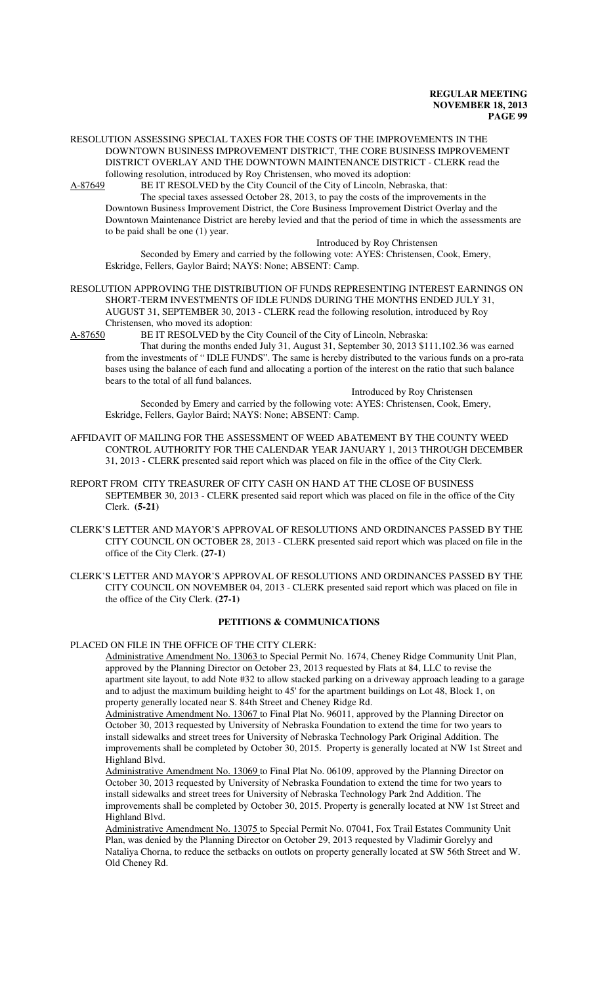#### RESOLUTION ASSESSING SPECIAL TAXES FOR THE COSTS OF THE IMPROVEMENTS IN THE DOWNTOWN BUSINESS IMPROVEMENT DISTRICT, THE CORE BUSINESS IMPROVEMENT DISTRICT OVERLAY AND THE DOWNTOWN MAINTENANCE DISTRICT - CLERK read the following resolution, introduced by Roy Christensen, who moved its adoption:

A-87649 BE IT RESOLVED by the City Council of the City of Lincoln, Nebraska, that:

The special taxes assessed October 28, 2013, to pay the costs of the improvements in the

Downtown Business Improvement District, the Core Business Improvement District Overlay and the Downtown Maintenance District are hereby levied and that the period of time in which the assessments are to be paid shall be one (1) year.

Introduced by Roy Christensen

Seconded by Emery and carried by the following vote: AYES: Christensen, Cook, Emery, Eskridge, Fellers, Gaylor Baird; NAYS: None; ABSENT: Camp.

RESOLUTION APPROVING THE DISTRIBUTION OF FUNDS REPRESENTING INTEREST EARNINGS ON SHORT-TERM INVESTMENTS OF IDLE FUNDS DURING THE MONTHS ENDED JULY 31, AUGUST 31, SEPTEMBER 30, 2013 - CLERK read the following resolution, introduced by Roy Christensen, who moved its adoption:

A-87650 BE IT RESOLVED by the City Council of the City of Lincoln, Nebraska:

That during the months ended July 31, August 31, September 30, 2013 \$111,102.36 was earned from the investments of " IDLE FUNDS". The same is hereby distributed to the various funds on a pro-rata bases using the balance of each fund and allocating a portion of the interest on the ratio that such balance bears to the total of all fund balances.

Introduced by Roy Christensen Seconded by Emery and carried by the following vote: AYES: Christensen, Cook, Emery, Eskridge, Fellers, Gaylor Baird; NAYS: None; ABSENT: Camp.

AFFIDAVIT OF MAILING FOR THE ASSESSMENT OF WEED ABATEMENT BY THE COUNTY WEED CONTROL AUTHORITY FOR THE CALENDAR YEAR JANUARY 1, 2013 THROUGH DECEMBER 31, 2013 - CLERK presented said report which was placed on file in the office of the City Clerk.

- REPORT FROM CITY TREASURER OF CITY CASH ON HAND AT THE CLOSE OF BUSINESS SEPTEMBER 30, 2013 - CLERK presented said report which was placed on file in the office of the City Clerk. **(5-21)**
- CLERK'S LETTER AND MAYOR'S APPROVAL OF RESOLUTIONS AND ORDINANCES PASSED BY THE CITY COUNCIL ON OCTOBER 28, 2013 - CLERK presented said report which was placed on file in the office of the City Clerk. **(27-1)**
- CLERK'S LETTER AND MAYOR'S APPROVAL OF RESOLUTIONS AND ORDINANCES PASSED BY THE CITY COUNCIL ON NOVEMBER 04, 2013 - CLERK presented said report which was placed on file in the office of the City Clerk. **(27-1)**

### **PETITIONS & COMMUNICATIONS**

# PLACED ON FILE IN THE OFFICE OF THE CITY CLERK:

Administrative Amendment No. 13063 to Special Permit No. 1674, Cheney Ridge Community Unit Plan, approved by the Planning Director on October 23, 2013 requested by Flats at 84, LLC to revise the apartment site layout, to add Note #32 to allow stacked parking on a driveway approach leading to a garage and to adjust the maximum building height to 45' for the apartment buildings on Lot 48, Block 1, on property generally located near S. 84th Street and Cheney Ridge Rd.

Administrative Amendment No. 13067 to Final Plat No. 96011, approved by the Planning Director on October 30, 2013 requested by University of Nebraska Foundation to extend the time for two years to install sidewalks and street trees for University of Nebraska Technology Park Original Addition. The improvements shall be completed by October 30, 2015. Property is generally located at NW 1st Street and Highland Blvd.

Administrative Amendment No. 13069 to Final Plat No. 06109, approved by the Planning Director on October 30, 2013 requested by University of Nebraska Foundation to extend the time for two years to install sidewalks and street trees for University of Nebraska Technology Park 2nd Addition. The improvements shall be completed by October 30, 2015. Property is generally located at NW 1st Street and Highland Blvd.

Administrative Amendment No. 13075 to Special Permit No. 07041, Fox Trail Estates Community Unit Plan, was denied by the Planning Director on October 29, 2013 requested by Vladimir Gorelyy and Nataliya Chorna, to reduce the setbacks on outlots on property generally located at SW 56th Street and W. Old Cheney Rd.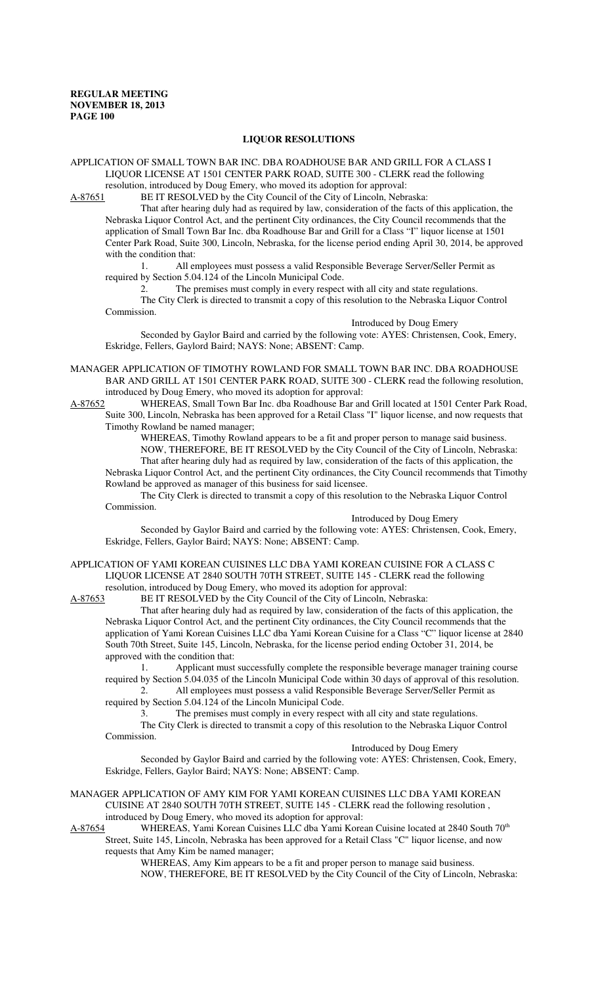### **LIQUOR RESOLUTIONS**

APPLICATION OF SMALL TOWN BAR INC. DBA ROADHOUSE BAR AND GRILL FOR A CLASS I LIQUOR LICENSE AT 1501 CENTER PARK ROAD, SUITE 300 - CLERK read the following resolution, introduced by Doug Emery, who moved its adoption for approval:

A-87651 BE IT RESOLVED by the City Council of the City of Lincoln, Nebraska:

That after hearing duly had as required by law, consideration of the facts of this application, the Nebraska Liquor Control Act, and the pertinent City ordinances, the City Council recommends that the application of Small Town Bar Inc. dba Roadhouse Bar and Grill for a Class "I" liquor license at 1501 Center Park Road, Suite 300, Lincoln, Nebraska, for the license period ending April 30, 2014, be approved with the condition that:

1. All employees must possess a valid Responsible Beverage Server/Seller Permit as required by Section 5.04.124 of the Lincoln Municipal Code.

The premises must comply in every respect with all city and state regulations. The City Clerk is directed to transmit a copy of this resolution to the Nebraska Liquor Control Commission.

Introduced by Doug Emery

Seconded by Gaylor Baird and carried by the following vote: AYES: Christensen, Cook, Emery, Eskridge, Fellers, Gaylord Baird; NAYS: None; ABSENT: Camp.

MANAGER APPLICATION OF TIMOTHY ROWLAND FOR SMALL TOWN BAR INC. DBA ROADHOUSE BAR AND GRILL AT 1501 CENTER PARK ROAD, SUITE 300 - CLERK read the following resolution, introduced by Doug Emery, who moved its adoption for approval:

A-87652 WHEREAS, Small Town Bar Inc. dba Roadhouse Bar and Grill located at 1501 Center Park Road, Suite 300, Lincoln, Nebraska has been approved for a Retail Class "I" liquor license, and now requests that Timothy Rowland be named manager;

WHEREAS, Timothy Rowland appears to be a fit and proper person to manage said business. NOW, THEREFORE, BE IT RESOLVED by the City Council of the City of Lincoln, Nebraska: That after hearing duly had as required by law, consideration of the facts of this application, the

Nebraska Liquor Control Act, and the pertinent City ordinances, the City Council recommends that Timothy Rowland be approved as manager of this business for said licensee.

The City Clerk is directed to transmit a copy of this resolution to the Nebraska Liquor Control Commission.

Introduced by Doug Emery

Seconded by Gaylor Baird and carried by the following vote: AYES: Christensen, Cook, Emery, Eskridge, Fellers, Gaylor Baird; NAYS: None; ABSENT: Camp.

APPLICATION OF YAMI KOREAN CUISINES LLC DBA YAMI KOREAN CUISINE FOR A CLASS C LIQUOR LICENSE AT 2840 SOUTH 70TH STREET, SUITE 145 - CLERK read the following resolution, introduced by Doug Emery, who moved its adoption for approval:<br>A-87653 BE IT RESOLVED by the City Council of the City of Lincoln, Nebra

BE IT RESOLVED by the City Council of the City of Lincoln, Nebraska:

That after hearing duly had as required by law, consideration of the facts of this application, the Nebraska Liquor Control Act, and the pertinent City ordinances, the City Council recommends that the application of Yami Korean Cuisines LLC dba Yami Korean Cuisine for a Class "C" liquor license at 2840 South 70th Street, Suite 145, Lincoln, Nebraska, for the license period ending October 31, 2014, be approved with the condition that:

1. Applicant must successfully complete the responsible beverage manager training course required by Section 5.04.035 of the Lincoln Municipal Code within 30 days of approval of this resolution.

2. All employees must possess a valid Responsible Beverage Server/Seller Permit as required by Section 5.04.124 of the Lincoln Municipal Code.

3. The premises must comply in every respect with all city and state regulations.

The City Clerk is directed to transmit a copy of this resolution to the Nebraska Liquor Control Commission.

Introduced by Doug Emery

Seconded by Gaylor Baird and carried by the following vote: AYES: Christensen, Cook, Emery, Eskridge, Fellers, Gaylor Baird; NAYS: None; ABSENT: Camp.

MANAGER APPLICATION OF AMY KIM FOR YAMI KOREAN CUISINES LLC DBA YAMI KOREAN CUISINE AT 2840 SOUTH 70TH STREET, SUITE 145 - CLERK read the following resolution , introduced by Doug Emery, who moved its adoption for approval:

A-87654 WHEREAS, Yami Korean Cuisines LLC dba Yami Korean Cuisine located at 2840 South 70<sup>th</sup> Street, Suite 145, Lincoln, Nebraska has been approved for a Retail Class "C" liquor license, and now requests that Amy Kim be named manager;

WHEREAS, Amy Kim appears to be a fit and proper person to manage said business. NOW, THEREFORE, BE IT RESOLVED by the City Council of the City of Lincoln, Nebraska: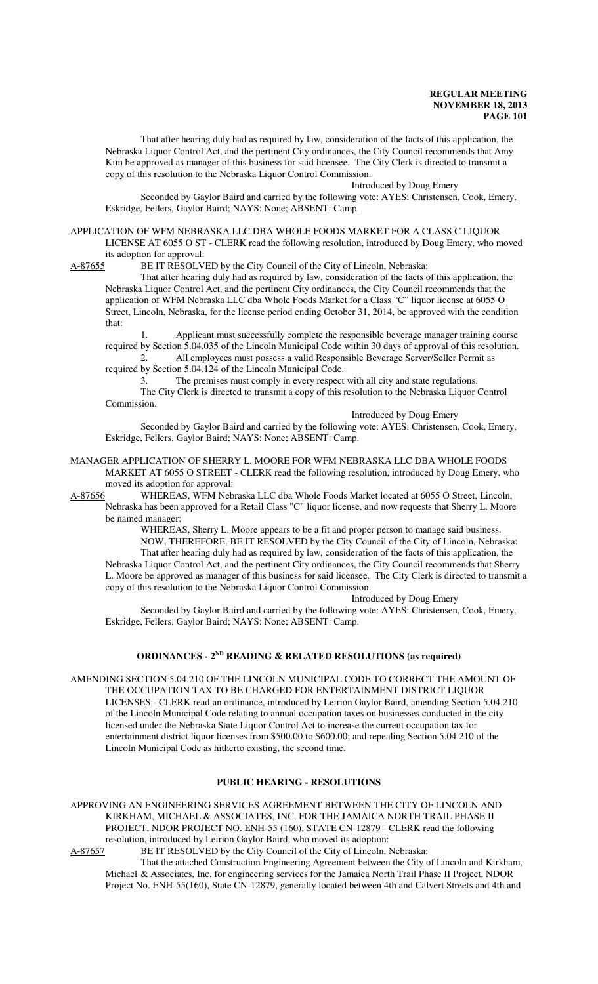That after hearing duly had as required by law, consideration of the facts of this application, the Nebraska Liquor Control Act, and the pertinent City ordinances, the City Council recommends that Amy Kim be approved as manager of this business for said licensee. The City Clerk is directed to transmit a copy of this resolution to the Nebraska Liquor Control Commission.

Introduced by Doug Emery

Seconded by Gaylor Baird and carried by the following vote: AYES: Christensen, Cook, Emery, Eskridge, Fellers, Gaylor Baird; NAYS: None; ABSENT: Camp.

APPLICATION OF WFM NEBRASKA LLC DBA WHOLE FOODS MARKET FOR A CLASS C LIQUOR LICENSE AT 6055 O ST - CLERK read the following resolution, introduced by Doug Emery, who moved its adoption for approval:

A-87655 BE IT RESOLVED by the City Council of the City of Lincoln, Nebraska:

That after hearing duly had as required by law, consideration of the facts of this application, the Nebraska Liquor Control Act, and the pertinent City ordinances, the City Council recommends that the application of WFM Nebraska LLC dba Whole Foods Market for a Class "C" liquor license at 6055 O Street, Lincoln, Nebraska, for the license period ending October 31, 2014, be approved with the condition that:

1. Applicant must successfully complete the responsible beverage manager training course required by Section 5.04.035 of the Lincoln Municipal Code within 30 days of approval of this resolution. 2. All employees must possess a valid Responsible Beverage Server/Seller Permit as

required by Section 5.04.124 of the Lincoln Municipal Code.

3. The premises must comply in every respect with all city and state regulations.

The City Clerk is directed to transmit a copy of this resolution to the Nebraska Liquor Control Commission.

Introduced by Doug Emery

Seconded by Gaylor Baird and carried by the following vote: AYES: Christensen, Cook, Emery, Eskridge, Fellers, Gaylor Baird; NAYS: None; ABSENT: Camp.

MANAGER APPLICATION OF SHERRY L. MOORE FOR WFM NEBRASKA LLC DBA WHOLE FOODS MARKET AT 6055 O STREET - CLERK read the following resolution, introduced by Doug Emery, who moved its adoption for approval:<br>A-87656 WHEREAS, WFM Neb

WHEREAS, WFM Nebraska LLC dba Whole Foods Market located at 6055 O Street, Lincoln, Nebraska has been approved for a Retail Class "C" liquor license, and now requests that Sherry L. Moore be named manager;

WHEREAS, Sherry L. Moore appears to be a fit and proper person to manage said business. NOW, THEREFORE, BE IT RESOLVED by the City Council of the City of Lincoln, Nebraska: That after hearing duly had as required by law, consideration of the facts of this application, the Nebraska Liquor Control Act, and the pertinent City ordinances, the City Council recommends that Sherry

L. Moore be approved as manager of this business for said licensee. The City Clerk is directed to transmit a copy of this resolution to the Nebraska Liquor Control Commission. Introduced by Doug Emery

Seconded by Gaylor Baird and carried by the following vote: AYES: Christensen, Cook, Emery, Eskridge, Fellers, Gaylor Baird; NAYS: None; ABSENT: Camp.

#### **ORDINANCES - 2ND READING & RELATED RESOLUTIONS (as required)**

AMENDING SECTION 5.04.210 OF THE LINCOLN MUNICIPAL CODE TO CORRECT THE AMOUNT OF THE OCCUPATION TAX TO BE CHARGED FOR ENTERTAINMENT DISTRICT LIQUOR LICENSES - CLERK read an ordinance, introduced by Leirion Gaylor Baird, amending Section 5.04.210 of the Lincoln Municipal Code relating to annual occupation taxes on businesses conducted in the city licensed under the Nebraska State Liquor Control Act to increase the current occupation tax for entertainment district liquor licenses from \$500.00 to \$600.00; and repealing Section 5.04.210 of the Lincoln Municipal Code as hitherto existing, the second time.

## **PUBLIC HEARING - RESOLUTIONS**

APPROVING AN ENGINEERING SERVICES AGREEMENT BETWEEN THE CITY OF LINCOLN AND KIRKHAM, MICHAEL & ASSOCIATES, INC. FOR THE JAMAICA NORTH TRAIL PHASE II PROJECT, NDOR PROJECT NO. ENH-55 (160), STATE CN-12879 - CLERK read the following resolution, introduced by Leirion Gaylor Baird, who moved its adoption:

A-87657 BE IT RESOLVED by the City Council of the City of Lincoln, Nebraska:

That the attached Construction Engineering Agreement between the City of Lincoln and Kirkham, Michael & Associates, Inc. for engineering services for the Jamaica North Trail Phase II Project, NDOR Project No. ENH-55(160), State CN-12879, generally located between 4th and Calvert Streets and 4th and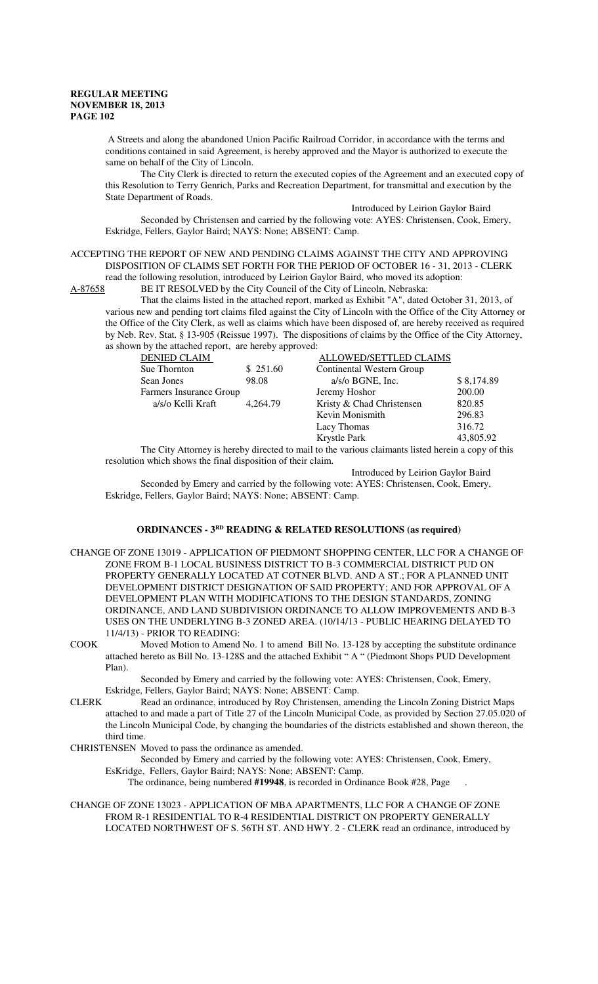A Streets and along the abandoned Union Pacific Railroad Corridor, in accordance with the terms and conditions contained in said Agreement, is hereby approved and the Mayor is authorized to execute the same on behalf of the City of Lincoln.

The City Clerk is directed to return the executed copies of the Agreement and an executed copy of this Resolution to Terry Genrich, Parks and Recreation Department, for transmittal and execution by the State Department of Roads.

Introduced by Leirion Gaylor Baird

Seconded by Christensen and carried by the following vote: AYES: Christensen, Cook, Emery, Eskridge, Fellers, Gaylor Baird; NAYS: None; ABSENT: Camp.

ACCEPTING THE REPORT OF NEW AND PENDING CLAIMS AGAINST THE CITY AND APPROVING DISPOSITION OF CLAIMS SET FORTH FOR THE PERIOD OF OCTOBER 16 - 31, 2013 - CLERK read the following resolution, introduced by Leirion Gaylor Baird, who moved its adoption:

A-87658 BE IT RESOLVED by the City Council of the City of Lincoln, Nebraska:

That the claims listed in the attached report, marked as Exhibit "A", dated October 31, 2013, of various new and pending tort claims filed against the City of Lincoln with the Office of the City Attorney or the Office of the City Clerk, as well as claims which have been disposed of, are hereby received as required by Neb. Rev. Stat. § 13-905 (Reissue 1997). The dispositions of claims by the Office of the City Attorney, as shown by the attached report, are hereby approved:

| <b>DENIED CLAIM</b>                                                                               |          | ALLOWED/SETTLED CLAIMS    |            |
|---------------------------------------------------------------------------------------------------|----------|---------------------------|------------|
| Sue Thornton                                                                                      | \$251.60 | Continental Western Group |            |
| Sean Jones                                                                                        | 98.08    | $a/s$ /o BGNE, Inc.       | \$8,174.89 |
| Farmers Insurance Group                                                                           |          | Jeremy Hoshor             | 200.00     |
| a/s/o Kelli Kraft                                                                                 | 4.264.79 | Kristy & Chad Christensen | 820.85     |
|                                                                                                   |          | Kevin Monismith           | 296.83     |
|                                                                                                   |          | Lacy Thomas               | 316.72     |
|                                                                                                   |          | Krystle Park              | 43,805.92  |
| The City Attorney is hereby directed to mail to the various claimants listed berein a conv of the |          |                           |            |

City Attorney is hereby directed to mail to the various claimants listed herein a copy of this resolution which shows the final disposition of their claim.

Introduced by Leirion Gaylor Baird

Seconded by Emery and carried by the following vote: AYES: Christensen, Cook, Emery, Eskridge, Fellers, Gaylor Baird; NAYS: None; ABSENT: Camp.

# **ORDINANCES - 3RD READING & RELATED RESOLUTIONS (as required)**

- CHANGE OF ZONE 13019 APPLICATION OF PIEDMONT SHOPPING CENTER, LLC FOR A CHANGE OF ZONE FROM B-1 LOCAL BUSINESS DISTRICT TO B-3 COMMERCIAL DISTRICT PUD ON PROPERTY GENERALLY LOCATED AT COTNER BLVD. AND A ST.; FOR A PLANNED UNIT DEVELOPMENT DISTRICT DESIGNATION OF SAID PROPERTY; AND FOR APPROVAL OF A DEVELOPMENT PLAN WITH MODIFICATIONS TO THE DESIGN STANDARDS, ZONING ORDINANCE, AND LAND SUBDIVISION ORDINANCE TO ALLOW IMPROVEMENTS AND B-3 USES ON THE UNDERLYING B-3 ZONED AREA. (10/14/13 - PUBLIC HEARING DELAYED TO 11/4/13) - PRIOR TO READING:
- COOK Moved Motion to Amend No. 1 to amend Bill No. 13-128 by accepting the substitute ordinance attached hereto as Bill No. 13-128S and the attached Exhibit " A " (Piedmont Shops PUD Development Plan).

Seconded by Emery and carried by the following vote: AYES: Christensen, Cook, Emery, Eskridge, Fellers, Gaylor Baird; NAYS: None; ABSENT: Camp.

- CLERK Read an ordinance, introduced by Roy Christensen, amending the Lincoln Zoning District Maps attached to and made a part of Title 27 of the Lincoln Municipal Code, as provided by Section 27.05.020 of the Lincoln Municipal Code, by changing the boundaries of the districts established and shown thereon, the third time.
- CHRISTENSEN Moved to pass the ordinance as amended.

Seconded by Emery and carried by the following vote: AYES: Christensen, Cook, Emery, EsKridge, Fellers, Gaylor Baird; NAYS: None; ABSENT: Camp.

The ordinance, being numbered **#19948**, is recorded in Ordinance Book #28, Page .

CHANGE OF ZONE 13023 - APPLICATION OF MBA APARTMENTS, LLC FOR A CHANGE OF ZONE FROM R-1 RESIDENTIAL TO R-4 RESIDENTIAL DISTRICT ON PROPERTY GENERALLY LOCATED NORTHWEST OF S. 56TH ST. AND HWY. 2 - CLERK read an ordinance, introduced by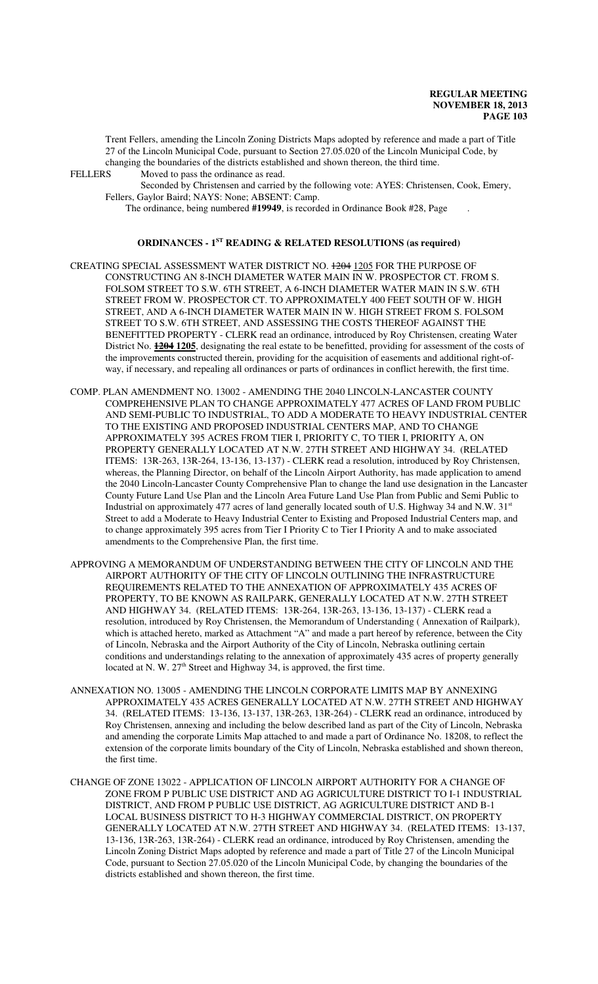Trent Fellers, amending the Lincoln Zoning Districts Maps adopted by reference and made a part of Title 27 of the Lincoln Municipal Code, pursuant to Section 27.05.020 of the Lincoln Municipal Code, by changing the boundaries of the districts established and shown thereon, the third time.<br>FELLERS Moved to pass the ordinance as read. Moved to pass the ordinance as read.

Seconded by Christensen and carried by the following vote: AYES: Christensen, Cook, Emery, Fellers, Gaylor Baird; NAYS: None; ABSENT: Camp.

The ordinance, being numbered **#19949**, is recorded in Ordinance Book #28, Page .

### **ORDINANCES - 1ST READING & RELATED RESOLUTIONS (as required)**

- CREATING SPECIAL ASSESSMENT WATER DISTRICT NO. 1204 1205 FOR THE PURPOSE OF CONSTRUCTING AN 8-INCH DIAMETER WATER MAIN IN W. PROSPECTOR CT. FROM S. FOLSOM STREET TO S.W. 6TH STREET, A 6-INCH DIAMETER WATER MAIN IN S.W. 6TH STREET FROM W. PROSPECTOR CT. TO APPROXIMATELY 400 FEET SOUTH OF W. HIGH STREET, AND A 6-INCH DIAMETER WATER MAIN IN W. HIGH STREET FROM S. FOLSOM STREET TO S.W. 6TH STREET, AND ASSESSING THE COSTS THEREOF AGAINST THE BENEFITTED PROPERTY - CLERK read an ordinance, introduced by Roy Christensen, creating Water District No. **1204 1205**, designating the real estate to be benefitted, providing for assessment of the costs of the improvements constructed therein, providing for the acquisition of easements and additional right-ofway, if necessary, and repealing all ordinances or parts of ordinances in conflict herewith, the first time.
- COMP. PLAN AMENDMENT NO. 13002 AMENDING THE 2040 LINCOLN-LANCASTER COUNTY COMPREHENSIVE PLAN TO CHANGE APPROXIMATELY 477 ACRES OF LAND FROM PUBLIC AND SEMI-PUBLIC TO INDUSTRIAL, TO ADD A MODERATE TO HEAVY INDUSTRIAL CENTER TO THE EXISTING AND PROPOSED INDUSTRIAL CENTERS MAP, AND TO CHANGE APPROXIMATELY 395 ACRES FROM TIER I, PRIORITY C, TO TIER I, PRIORITY A, ON PROPERTY GENERALLY LOCATED AT N.W. 27TH STREET AND HIGHWAY 34. (RELATED ITEMS: 13R-263, 13R-264, 13-136, 13-137) - CLERK read a resolution, introduced by Roy Christensen, whereas, the Planning Director, on behalf of the Lincoln Airport Authority, has made application to amend the 2040 Lincoln-Lancaster County Comprehensive Plan to change the land use designation in the Lancaster County Future Land Use Plan and the Lincoln Area Future Land Use Plan from Public and Semi Public to Industrial on approximately 477 acres of land generally located south of U.S. Highway 34 and N.W. 31<sup>st</sup> Street to add a Moderate to Heavy Industrial Center to Existing and Proposed Industrial Centers map, and to change approximately 395 acres from Tier I Priority C to Tier I Priority A and to make associated amendments to the Comprehensive Plan, the first time.
- APPROVING A MEMORANDUM OF UNDERSTANDING BETWEEN THE CITY OF LINCOLN AND THE AIRPORT AUTHORITY OF THE CITY OF LINCOLN OUTLINING THE INFRASTRUCTURE REQUIREMENTS RELATED TO THE ANNEXATION OF APPROXIMATELY 435 ACRES OF PROPERTY, TO BE KNOWN AS RAILPARK, GENERALLY LOCATED AT N.W. 27TH STREET AND HIGHWAY 34. (RELATED ITEMS: 13R-264, 13R-263, 13-136, 13-137) - CLERK read a resolution, introduced by Roy Christensen, the Memorandum of Understanding ( Annexation of Railpark), which is attached hereto, marked as Attachment "A" and made a part hereof by reference, between the City of Lincoln, Nebraska and the Airport Authority of the City of Lincoln, Nebraska outlining certain conditions and understandings relating to the annexation of approximately 435 acres of property generally located at N. W. 27<sup>th</sup> Street and Highway 34, is approved, the first time.
- ANNEXATION NO. 13005 AMENDING THE LINCOLN CORPORATE LIMITS MAP BY ANNEXING APPROXIMATELY 435 ACRES GENERALLY LOCATED AT N.W. 27TH STREET AND HIGHWAY 34. (RELATED ITEMS: 13-136, 13-137, 13R-263, 13R-264) - CLERK read an ordinance, introduced by Roy Christensen, annexing and including the below described land as part of the City of Lincoln, Nebraska and amending the corporate Limits Map attached to and made a part of Ordinance No. 18208, to reflect the extension of the corporate limits boundary of the City of Lincoln, Nebraska established and shown thereon, the first time.
- CHANGE OF ZONE 13022 APPLICATION OF LINCOLN AIRPORT AUTHORITY FOR A CHANGE OF ZONE FROM P PUBLIC USE DISTRICT AND AG AGRICULTURE DISTRICT TO I-1 INDUSTRIAL DISTRICT, AND FROM P PUBLIC USE DISTRICT, AG AGRICULTURE DISTRICT AND B-1 LOCAL BUSINESS DISTRICT TO H-3 HIGHWAY COMMERCIAL DISTRICT, ON PROPERTY GENERALLY LOCATED AT N.W. 27TH STREET AND HIGHWAY 34. (RELATED ITEMS: 13-137, 13-136, 13R-263, 13R-264) - CLERK read an ordinance, introduced by Roy Christensen, amending the Lincoln Zoning District Maps adopted by reference and made a part of Title 27 of the Lincoln Municipal Code, pursuant to Section 27.05.020 of the Lincoln Municipal Code, by changing the boundaries of the districts established and shown thereon, the first time.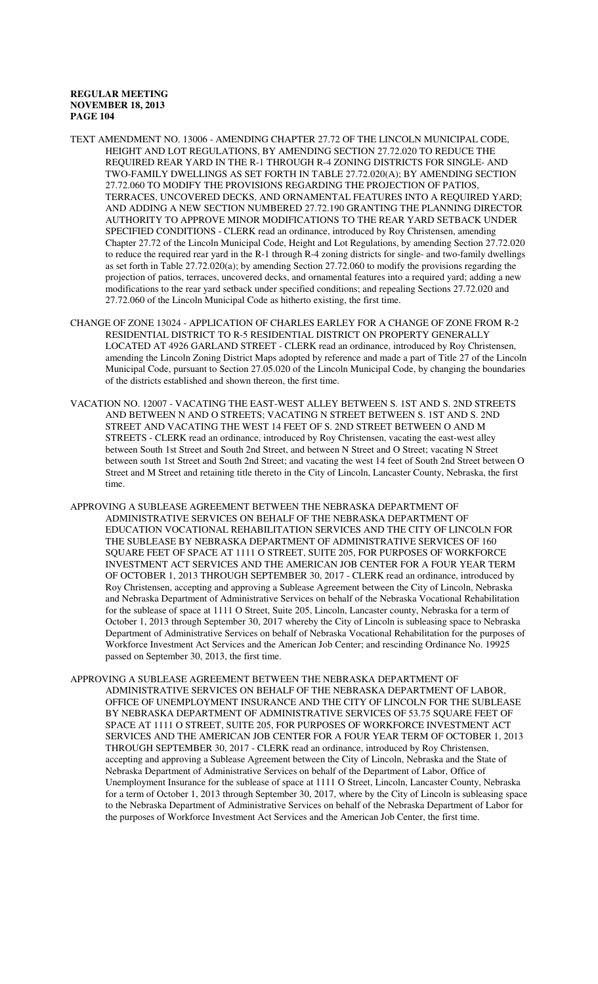- TEXT AMENDMENT NO. 13006 AMENDING CHAPTER 27.72 OF THE LINCOLN MUNICIPAL CODE, HEIGHT AND LOT REGULATIONS, BY AMENDING SECTION 27.72.020 TO REDUCE THE REQUIRED REAR YARD IN THE R-1 THROUGH R-4 ZONING DISTRICTS FOR SINGLE- AND TWO-FAMILY DWELLINGS AS SET FORTH IN TABLE 27.72.020(A); BY AMENDING SECTION 27.72.060 TO MODIFY THE PROVISIONS REGARDING THE PROJECTION OF PATIOS, TERRACES, UNCOVERED DECKS, AND ORNAMENTAL FEATURES INTO A REQUIRED YARD; AND ADDING A NEW SECTION NUMBERED 27.72.190 GRANTING THE PLANNING DIRECTOR AUTHORITY TO APPROVE MINOR MODIFICATIONS TO THE REAR YARD SETBACK UNDER SPECIFIED CONDITIONS - CLERK read an ordinance, introduced by Roy Christensen, amending Chapter 27.72 of the Lincoln Municipal Code, Height and Lot Regulations, by amending Section 27.72.020 to reduce the required rear yard in the R-1 through R-4 zoning districts for single- and two-family dwellings as set forth in Table 27.72.020(a); by amending Section 27.72.060 to modify the provisions regarding the projection of patios, terraces, uncovered decks, and ornamental features into a required yard; adding a new modifications to the rear yard setback under specified conditions; and repealing Sections 27.72.020 and 27.72.060 of the Lincoln Municipal Code as hitherto existing, the first time.
- CHANGE OF ZONE 13024 APPLICATION OF CHARLES EARLEY FOR A CHANGE OF ZONE FROM R-2 RESIDENTIAL DISTRICT TO R-5 RESIDENTIAL DISTRICT ON PROPERTY GENERALLY LOCATED AT 4926 GARLAND STREET - CLERK read an ordinance, introduced by Roy Christensen, amending the Lincoln Zoning District Maps adopted by reference and made a part of Title 27 of the Lincoln Municipal Code, pursuant to Section 27.05.020 of the Lincoln Municipal Code, by changing the boundaries of the districts established and shown thereon, the first time.
- VACATION NO. 12007 VACATING THE EAST-WEST ALLEY BETWEEN S. 1ST AND S. 2ND STREETS AND BETWEEN N AND O STREETS; VACATING N STREET BETWEEN S. 1ST AND S. 2ND STREET AND VACATING THE WEST 14 FEET OF S. 2ND STREET BETWEEN O AND M STREETS - CLERK read an ordinance, introduced by Roy Christensen, vacating the east-west alley between South 1st Street and South 2nd Street, and between N Street and O Street; vacating N Street between south 1st Street and South 2nd Street; and vacating the west 14 feet of South 2nd Street between O Street and M Street and retaining title thereto in the City of Lincoln, Lancaster County, Nebraska, the first time.
- APPROVING A SUBLEASE AGREEMENT BETWEEN THE NEBRASKA DEPARTMENT OF ADMINISTRATIVE SERVICES ON BEHALF OF THE NEBRASKA DEPARTMENT OF EDUCATION VOCATIONAL REHABILITATION SERVICES AND THE CITY OF LINCOLN FOR THE SUBLEASE BY NEBRASKA DEPARTMENT OF ADMINISTRATIVE SERVICES OF 160 SQUARE FEET OF SPACE AT 1111 O STREET, SUITE 205, FOR PURPOSES OF WORKFORCE INVESTMENT ACT SERVICES AND THE AMERICAN JOB CENTER FOR A FOUR YEAR TERM OF OCTOBER 1, 2013 THROUGH SEPTEMBER 30, 2017 - CLERK read an ordinance, introduced by Roy Christensen, accepting and approving a Sublease Agreement between the City of Lincoln, Nebraska and Nebraska Department of Administrative Services on behalf of the Nebraska Vocational Rehabilitation for the sublease of space at 1111 O Street, Suite 205, Lincoln, Lancaster county, Nebraska for a term of October 1, 2013 through September 30, 2017 whereby the City of Lincoln is subleasing space to Nebraska Department of Administrative Services on behalf of Nebraska Vocational Rehabilitation for the purposes of Workforce Investment Act Services and the American Job Center; and rescinding Ordinance No. 19925 passed on September 30, 2013, the first time.
- APPROVING A SUBLEASE AGREEMENT BETWEEN THE NEBRASKA DEPARTMENT OF ADMINISTRATIVE SERVICES ON BEHALF OF THE NEBRASKA DEPARTMENT OF LABOR, OFFICE OF UNEMPLOYMENT INSURANCE AND THE CITY OF LINCOLN FOR THE SUBLEASE BY NEBRASKA DEPARTMENT OF ADMINISTRATIVE SERVICES OF 53.75 SQUARE FEET OF SPACE AT 1111 O STREET, SUITE 205, FOR PURPOSES OF WORKFORCE INVESTMENT ACT SERVICES AND THE AMERICAN JOB CENTER FOR A FOUR YEAR TERM OF OCTOBER 1, 2013 THROUGH SEPTEMBER 30, 2017 - CLERK read an ordinance, introduced by Roy Christensen, accepting and approving a Sublease Agreement between the City of Lincoln, Nebraska and the State of Nebraska Department of Administrative Services on behalf of the Department of Labor, Office of Unemployment Insurance for the sublease of space at 1111 O Street, Lincoln, Lancaster County, Nebraska for a term of October 1, 2013 through September 30, 2017, where by the City of Lincoln is subleasing space to the Nebraska Department of Administrative Services on behalf of the Nebraska Department of Labor for the purposes of Workforce Investment Act Services and the American Job Center, the first time.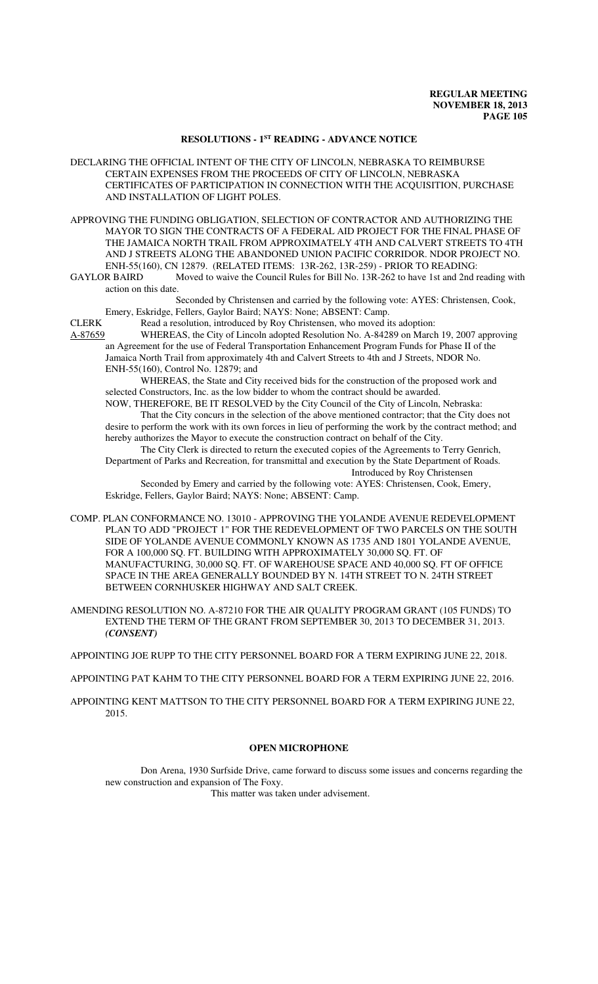# **RESOLUTIONS - 1ST READING - ADVANCE NOTICE**

DECLARING THE OFFICIAL INTENT OF THE CITY OF LINCOLN, NEBRASKA TO REIMBURSE CERTAIN EXPENSES FROM THE PROCEEDS OF CITY OF LINCOLN, NEBRASKA CERTIFICATES OF PARTICIPATION IN CONNECTION WITH THE ACQUISITION, PURCHASE AND INSTALLATION OF LIGHT POLES.

APPROVING THE FUNDING OBLIGATION, SELECTION OF CONTRACTOR AND AUTHORIZING THE MAYOR TO SIGN THE CONTRACTS OF A FEDERAL AID PROJECT FOR THE FINAL PHASE OF THE JAMAICA NORTH TRAIL FROM APPROXIMATELY 4TH AND CALVERT STREETS TO 4TH AND J STREETS ALONG THE ABANDONED UNION PACIFIC CORRIDOR. NDOR PROJECT NO.

ENH-55(160), CN 12879. (RELATED ITEMS: 13R-262, 13R-259) - PRIOR TO READING:<br>GAYLOR BAIRD Moved to waive the Council Rules for Bill No. 13R-262 to have 1st and 2nd r Moved to waive the Council Rules for Bill No. 13R-262 to have 1st and 2nd reading with action on this date.

Seconded by Christensen and carried by the following vote: AYES: Christensen, Cook, Emery, Eskridge, Fellers, Gaylor Baird; NAYS: None; ABSENT: Camp.

CLERK Read a resolution, introduced by Roy Christensen, who moved its adoption:

A-87659 WHEREAS, the City of Lincoln adopted Resolution No. A-84289 on March 19, 2007 approving an Agreement for the use of Federal Transportation Enhancement Program Funds for Phase II of the Jamaica North Trail from approximately 4th and Calvert Streets to 4th and J Streets, NDOR No. ENH-55(160), Control No. 12879; and

WHEREAS, the State and City received bids for the construction of the proposed work and selected Constructors, Inc. as the low bidder to whom the contract should be awarded.

NOW, THEREFORE, BE IT RESOLVED by the City Council of the City of Lincoln, Nebraska: That the City concurs in the selection of the above mentioned contractor; that the City does not desire to perform the work with its own forces in lieu of performing the work by the contract method; and hereby authorizes the Mayor to execute the construction contract on behalf of the City.

The City Clerk is directed to return the executed copies of the Agreements to Terry Genrich, Department of Parks and Recreation, for transmittal and execution by the State Department of Roads. Introduced by Roy Christensen

Seconded by Emery and carried by the following vote: AYES: Christensen, Cook, Emery, Eskridge, Fellers, Gaylor Baird; NAYS: None; ABSENT: Camp.

COMP. PLAN CONFORMANCE NO. 13010 - APPROVING THE YOLANDE AVENUE REDEVELOPMENT PLAN TO ADD "PROJECT 1" FOR THE REDEVELOPMENT OF TWO PARCELS ON THE SOUTH SIDE OF YOLANDE AVENUE COMMONLY KNOWN AS 1735 AND 1801 YOLANDE AVENUE, FOR A 100,000 SQ. FT. BUILDING WITH APPROXIMATELY 30,000 SQ. FT. OF MANUFACTURING, 30,000 SQ. FT. OF WAREHOUSE SPACE AND 40,000 SQ. FT OF OFFICE SPACE IN THE AREA GENERALLY BOUNDED BY N. 14TH STREET TO N. 24TH STREET BETWEEN CORNHUSKER HIGHWAY AND SALT CREEK.

AMENDING RESOLUTION NO. A-87210 FOR THE AIR QUALITY PROGRAM GRANT (105 FUNDS) TO EXTEND THE TERM OF THE GRANT FROM SEPTEMBER 30, 2013 TO DECEMBER 31, 2013. *(CONSENT)*

APPOINTING JOE RUPP TO THE CITY PERSONNEL BOARD FOR A TERM EXPIRING JUNE 22, 2018.

APPOINTING PAT KAHM TO THE CITY PERSONNEL BOARD FOR A TERM EXPIRING JUNE 22, 2016.

APPOINTING KENT MATTSON TO THE CITY PERSONNEL BOARD FOR A TERM EXPIRING JUNE 22, 2015.

#### **OPEN MICROPHONE**

Don Arena, 1930 Surfside Drive, came forward to discuss some issues and concerns regarding the new construction and expansion of The Foxy.

This matter was taken under advisement.